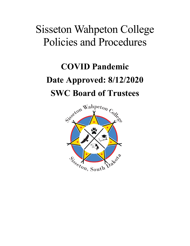# Sisseton Wahpeton College Policies and Procedures

# **COVID Pandemic Date Approved: 8/12/2020 SWC Board of Trustees**

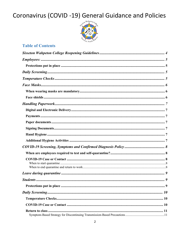

### **Table of Contents**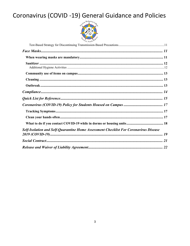

| Self-Isolation and Self-Quarantine Home Assessment Checklist For Coronavirus Disease |  |
|--------------------------------------------------------------------------------------|--|
|                                                                                      |  |
|                                                                                      |  |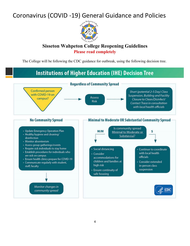

### **Sisseton Wahpeton College Reopening Guidelines Please read completely**

The College will be following the CDC guidance for outbreak, using the following decision tree.

#### **Institutions of Higher Education (IHE) Decision Tree Regardless of Community Spread Confirmed person** Short (potential 2-5 Day) Class with COVID-19 on Suspension, Building and Facility Assess campus? ................ ................ Closure to Clean/Disinfect/ Risk **Contact Trace in consultation** with local health officials **No Community Spread** Minimal to Moderate OR Substantial Community Spread Is community spread • Update Emergency Operation Plan  $M/M$  $\mathsf{s}$ Minimal to Moderate or ........ • Healthy hygiene and cleaning/ .......... Substantial? disinfection • Monitor absenteeism • Assess group gatherings/events • Require sick individuals to stay home · Social distancing Continue to coordinate · Establish procedures for individuals who with local health · Consider are sick on campus officials accommodations for • Ensure health clinics prepare for COVID-19 children and families at • Consider extended • Communicate regularly with student, high risk in-person class staff, faculty suspension · Ensure continuity of safe housing Monitor changes in  $CDC$ community spread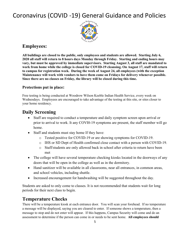

### **Employees:**

**All buildings are closed to the public, only employees and students are allowed. Starting July 6, 2020 all staff will return to 8 hours days Monday through Friday. Starting and ending hours may vary, but must be approved by immediate supervisors. Starting August 3, all staff are mandated to work from home while the college is closed for COVID-19 cleansing. On August 17, staff will return to campus for registration week. During the week of August 24, all employees (with the exception Maintenance will work with vendors to have them come on Fridays for delivery whenever possible. Since there are no classes on Friday, the library will be closed during this time.**

#### **Protections put in place:**

Free testing is being conducted at Woodrow Wilson Keeble Indian Health Service, every week on Wednesdays. Employees are encouraged to take advantage of the testing at this site, or sites closer to your home residency.

### **Daily Screening**

- Staff are required to conduct a temperature and daily symptom screen upon arrival or prior to arrival to work. It any COVI0-19 symptoms are present, the staff member will go home.
- Staff and students must stay home If they have:
	- o Tested positive for COVID-19 or are showing symptoms for COVID-19.
	- o IHS or SD Dept of Health confirmed close contact with a person with COVID-19.
	- o Staff/students are only allowed back in school after criteria to return have been met
- The college will have several temperature checking kiosks located in the doorways of any doors that will be open in the college as well as in the dormitory.
- Hand sanitizer will be available in all classrooms, near all entrances, in common areas, and school vehicles, including shuttle.
- Increased encouragement for handwashing will be suggested throughout the day.

Students are asked to only come to classes. It is not recommended that students wait for long periods for their next class to begin.

### **Temperature Checks**

There will be a temperature kiosk at each entrance door. You will scan your forehead. If no temperature a message will be displayed, saying you are cleared to enter. If someone shows a temperature, then a message to stop and do not enter will appear. If this happens, Campus Security will come and do an assessment to determine if the person can come in or needs to be sent home. **All employees should**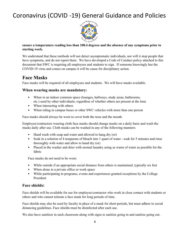

#### **ensure a temperature reading less than 100.4 degrees and the absence of any symptoms prior to starting work.**

We understand that these methods will not detect asymptomatic individuals, nor will it stop people that have symptoms, and do not report them. We have developed a Code of Conduct policy attached to this document that SWC is requiring all employees and students to sign. If someone knowingly has the COVID-19 virus and comes on campus it will be cause for disciplinary action.

### **Face Masks**

Face masks will be required of all employees and students. We will have masks available.

#### **When wearing masks are mandatory:**

- When in an indoor common space (lounges, hallways, study areas, bathrooms, etc.) used by other individuals, regardless of whether others are present at the time
- When interacting with others
- When riding in campus buses or other SWC vehicles with more than one person

Face masks should always be worn to cover both the nose and the mouth.

Employee/contractors wearing cloth face masks should change masks on a daily basis and wash the masks daily after use. Cloth masks can be washed in any of the following manners:

- Hand wash with soap and water and allowed to hang dry (or)
- Soak in a solution of 4 teaspoons of bleach into 1 quart of water soak for 5 minutes and rinse thoroughly with water and allow to hand dry (or)
- Placed in the washer and drier with normal laundry using as warm of water as possible for the fabric

Face masks do not need to be worn:

- While outside if an appropriate social distance from others is maintained, typically six feet
- When alone in a private office or work space
- While participating in programs, events and experiences granted exceptions by the College President

#### **Face shields:**

Face shields will be available for use for employee/contractor who work in close contact with students or others and who cannot tolerate a face mask for long periods of time.

Face shields may also be used by faculty in place of a mask for short periods, but must adhere to social distancing guidelines. Face shields must be disinfected after each use.

We also have sanitizer in each classroom along with signs to sanitize going in and sanitize going out.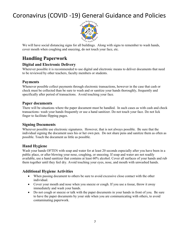

We will have social distancing signs for all buildings. Along with signs to remember to wash hands, cover mouth when coughing and sneezing, do not touch your face, etc.

### **Handling Paperwork**

#### **Digital and Electronic Delivery**

Wherever possible it is recommended to use digital and electronic means to deliver documents that need to be reviewed by other teachers, faculty members or students.

#### **Payments**

Whenever possible collect payments through electronic transactions, however in the case that cash or check must be collected than be sure to wash and or sanitize your hands thoroughly, frequently and specifically after period of transactions. Avoid touching your face.

#### **Paper documents**

There will be situations where the paper document must be handled. In such cases as with cash and check transactions- wash your hands frequently or use a hand sanitizer. Do not touch your face. Do not lick finger to facilitate flipping pages.

#### **Signing Documents**

Wherever possible use electronic signatures. However, that is not always possible. Be sure that the individual signing the document uses his or her own pen. Do not share pens and sanitize them as often as possible. Touch the document as little as possible.

#### **Hand Hygiene**

Wash your hands OFTEN with soap and water for at least 20 seconds especially after you have been in a public place, or after blowing your nose, coughing, or sneezing. If soap and water are not readily available, use a hand sanitizer that contains at least 60% alcohol. Cover all surfaces of your hands and rub them together until they feel dry. Avoid touching your eyes, nose, and mouth with unwashed hands.

#### **Additional Hygiene Activities**

- When passing document to others be sure to avoid excessive close contact with the other individual.
- Cover your mouth and nose when you sneeze or cough. If you use a tissue, throw it away immediately and wash your hands.
- Do not cough or sneeze or talk with the paper documents in your hands in front of you. Be sure to have the paper documents by your side when you are communicating with others, to avoid contaminating paperwork.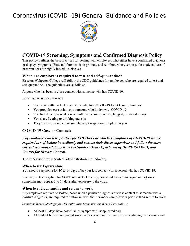

### **COVID-19 Screening, Symptoms and Confirmed Diagnosis Policy**

This policy outlines the best practices for dealing with employees who either have a confirmed diagnosis or display symptoms. First and foremost is to promote and reinforce wherever possible a safe culture of best practices for highly infectious diseases.

#### **When are employees required to test and self-quarantine?**

Sisseton Wahpeton College will follow the CDC guidelines for employees who are required to test and self-quarantine. The guidelines are as follows:

Anyone who has been in close contact with someone who has COVID-19.

What counts as close contact?

- You were within 6 feet of someone who has COVID-19 for at least 15 minutes
- You provided care at home to someone who is sick with COVID-19
- You had direct physical contact with the person (touched, hugged, or kissed them)
- You shared eating or drinking utensils
- They sneezed, coughed, or somehow got respiratory droplets on you

#### **COVID-19 Case or Contact:**

*Any employee who tests positive for COVID-19 or who has symptoms of COVID-19 will be required to self-isolate immediately and contact their direct supervisor and follow the most current recommendations from the South Dakota Department of Health (SD DoH) and Centers for Disease Control.*

The supervisor must contact administration immediately.

#### **When to start quarantine**

You should stay home for 10 to 14 days after your last contact with a person who has COVID-19.

Even if you test negative for COVID-19 or feel healthy, you should stay home (quarantine) since symptoms may appear 2 to 14 days after exposure to the virus.

#### **When to end quarantine and return to work**

Any employee required to isolate, based upon a positive diagnosis or close contact to someone with a positive diagnosis, are required to follow up with their primary care provider prior to their return to work.

*Symptom-Based Strategy for Discontinuing Transmission-Based Precautions*.

- At least 10 days have passed since symptoms first appeared and
- At least 24 hours have passed since last fever without the use of fever-reducing medications and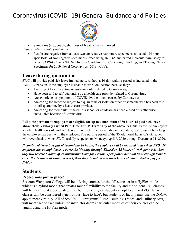

• Symptoms (e.g., cough, shortness of breath) have improved

*Patients who are not symptomatic*:

• Results are negative from at least two consecutive respiratory specimens collected  $\geq 24$  hours apart (total of two negative specimens) tested using an FDA-authorized molecular viral assay to detect SARS-CoV-2 RNA. See Interim Guidelines for Collecting, Handling, and Testing Clinical Specimens for 2019 Novel Coronavirus (2019-nCoV).

### **Leave during quarantine**

SWC will provide paid sick leave immediately, without a 10-day waiting period as indicated in the FMLA Expansion, if the employee is unable to work on location because they:

- Are subject to a quarantine or isolation order related to Coronavirus,
- Have been told to self-quarantine by a health care provider related to Coronavirus,
- Are experiencing symptoms of COVID-19, the illness caused by Coronavirus,
- Are caring for someone subject to a quarantine or isolation order or someone who has been told to self-quarantine by a health care provider.
- Are caring for their child if the child's school or childcare has been closed or is otherwise unavailable because of Coronavirus.

**Full-time permanent employees are eligible for up to a maximum of 80 hours of paid sick leave above their regularly earned Paid Time Off (PTO) for any of the above reasons**. Part-time employees are eligible 40 hours of paid sick leave. Paid sick time is available immediately, regardless of how long the employee has been with the employer. The starting period of the 80 additional hours of sick leave, will revert back to when SWC partially reopened on Monday, April 6, 2020 through December 31, 2020.

*If continued leave is required beyond the 80 hours, the employee will be required to use their PTO. If employee has enough leave to cover the Monday through Thursday, 32 hours of work per week, then they will receive 8 hours of administrative leave for Friday. If employee does not have enough leave to cover the 32 hours of work per week, then they do not receive the 8 hours of administrative pay for Friday.*

### **Students**

#### **Protections put in place:**

Sisseton Wahpeton College will be offering courses for the fall semester in a HyFlex mode which is a hybrid model that creates much flexibility to the faculty and the student. All classes will be meeting at a designated time, but the faculty or student can opt to utilized ZOOM. All classes will be considered synchronous (face to face), but students or faculty may use the ZOOM app to meet virtually. All of SWC's CTE programs (CNA, Building Trades, and Culinary Arts) will meet face to face unless the instructor deems particular modules of their courses can be taught using the HyFlex model.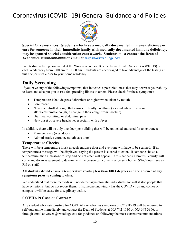

**Special Circumstances: Students who have a medically documented immune deficiency or care for someone in their immediate family with medically documented immune deficiency, may be granted special consideration coursework. Students must contact the Dean of Academics at ###-###-#### or email at farpan@swcollege.edu.** 

Free testing is being conducted at the Woodrow Wilson Keeble Indian Health Service (WWKIHS) on each Wednesday from 9:00 am to 11:00 am. Students are encouraged to take advantage of the testing at this site, or sites closer to your home residency.

### **Daily Screening**

If you have any of the following symptoms, that indicates a possible illness that may decrease your ability to learn and also put you at risk for spreading illness to others. Please check for these symptoms:

- Temperature 100.4 degrees Fahrenheit or higher when taken by mouth
- Sore throat
- New uncontrolled cough that causes difficulty breathing (for students with chronic allergic/asthmatic cough, a change in their cough from baseline)
- Diarrhea, vomiting, or abdominal pain
- New onset of severe headache, especially with a fever

In addition, there will be only one door per building that will be unlocked and used for an entrance:

- Main entrance (west door)
- Administrative entrance (south east door)

#### **Temperature Checks**

There will be a temperature kiosk at each entrance door and everyone will have to be scanned. If no temperature a message will be displayed, saying the person is cleared to enter. If someone shows a temperature, then a message to stop and do not enter will appear. If this happens, Campus Security will come and do an assessment to determine if the person can come in or be sent home. SWC does have an RN on staff.

#### **All students should ensure a temperature reading less than 100.4 degrees and the absence of any symptoms prior to coming to class.**

We understand that these methods will not detect asymptomatic individuals nor will it stop people that have symptoms, but do not report them. If someone knowingly has the COVID virus and comes on campus it will be cause for disciplinary action.

#### **COVID-19 Case or Contact:**

Any student who tests positive for COVID-19 or who has symptoms of COVID-19 will be required to self-quarantine immediately and contact the Dean of Students at 605-742-1130 or 605-698-3966, or through email at vowen@swcollege.edu for guidance on following the most current recommendations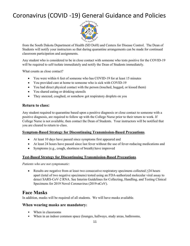

from the South Dakota Department of Health (SD DoH) and Centers for Disease Control. The Dean of Students will notify your instructors so that during quarantine arrangements can be made for continued classroom participation and assignments.

Any student who is considered to be in close contact with someone who tests positive for the COVID-19 will be required to self-isolate immediately and notify the Dean of Students immediately.

What counts as close contact?

- You were within 6 feet of someone who has COVID-19 for at least 15 minutes
- You provided care at home to someone who is sick with COVID-19
- You had direct physical contact with the person (touched, hugged, or kissed them)
- You shared eating or drinking utensils
- They sneezed, coughed, or somehow got respiratory droplets on you

#### **Return to class:**

Any student required to quarantine based upon a positive diagnosis or close contact to someone with a positive diagnosis, are required to follow up with the College Nurse prior to their return to work. If College Nurse is not available, then contact the Dean of Students. Your instructors will be notified that you are cleared to return to class.

#### **Symptom-Based Strategy for Discontinuing Transmission-Based Precautions**.

- At least 10 days have passed since symptoms first appeared and
- At least 24 hours have passed since last fever without the use of fever-reducing medications and
- Symptoms (e.g., cough, shortness of breath) have improved

#### **Test-Based Strategy for Discontinuing Transmission-Based Precautions**.

*Patients who are not symptomatic*:

• Results are negative from at least two consecutive respiratory specimens collected ≥24 hours apart (total of two negative specimens) tested using an FDA-authorized molecular viral assay to detect SARS-CoV-2 RNA. See Interim Guidelines for Collecting, Handling, and Testing Clinical Specimens for 2019 Novel Coronavirus (2019-nCoV).

### **Face Masks**

In addition, masks will be required of all students. We will have masks available.

#### **When wearing masks are mandatory:**

- When in classrooms
- When in an indoor common space (lounges, hallways, study areas, bathrooms,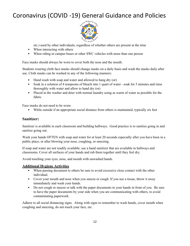

etc.) used by other individuals, regardless of whether others are present at the time

- When interacting with others
- When riding in campus buses or other SWC vehicles with more than one person

Face masks should always be worn to cover both the nose and the mouth.

Students wearing cloth face masks should change masks on a daily basis and wash the masks daily after use. Cloth masks can be washed in any of the following manners:

- Hand wash with soap and water and allowed to hang dry (or)
- Soak in a solution of 4 teaspoons of bleach into 1 quart of water soak for 5 minutes and rinse thoroughly with water and allow to hand dry (or)
- Placed in the washer and drier with normal laundry using as warm of water as possible for the fabric

Face masks do not need to be worn:

• While outside if an appropriate social distance from others is maintained, typically six feet

#### **Sanitizer:**

Sanitizer is available in each classroom and building hallways. Good practice is to sanitize going in and sanitize going out.

Wash your hands OFTEN with soap and water for at least 20 seconds especially after you have been in a public place, or after blowing your nose, coughing, or sneezing.

If soap and water are not readily available, use a hand sanitizer that are available in hallways and classrooms. Cover all surfaces of your hands and rub them together until they feel dry.

Avoid touching your eyes, nose, and mouth with unwashed hands.

#### **Additional Hygiene Activities**

- When passing document to others be sure to avoid excessive close contact with the other individual.
- Cover your mouth and nose when you sneeze or cough. If you use a tissue, throw it away immediately and wash your hands.
- Do not cough or sneeze or talk with the paper documents in your hands in front of you. Be sure to have the paper documents by your side when you are communicating with others, to avoid contaminating paperwork.

Adhere to all social distancing signs. Along with signs to remember to wash hands, cover mouth when coughing and sneezing, do not touch your face, etc.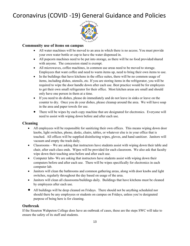

#### **Community use of items on campus**

- All water machines will be moved to an area in which there is no access. You must provide your own water bottle or cup to have the water dispensed in.
- All popcorn machines need to be put into storage, as there will be no food provided/shared with anyone. The concession stand is exempt.
- All microwaves, coffee machines, in common use areas need to be moved to storage. Employees that want coffee and need to warm items up, need to bring their own items to use.
- In the buildings that have kitchens in the office suites, there will be no common usage of items, including dishes, utensils, etc. If you are storing items in the refrigerator, you will be required to wipe the door handle down after each use. Best practice would be for employees to get their own small refrigerator for their office. Most kitchen areas are small and should only have one person in them at a time.
- If you need to do dishes, please do immediately and do not leave in sinks or leave on the counter to dry. Once you do your dishes, please cleanup around the area. We will have soap in the area and paper towels for use.
- There will be wipes by each copy machine that are designated for electronics. Everyone will need to assist with wiping down before and after each use.

#### **Cleaning**

- All employees will be responsible for sanitizing their own offices. This means wiping down door knobs, light switches, phone, desks, chairs, tables, or whatever else is in your office that is touched. All offices will be supplied disinfecting wipes, gloves, and hand sanitizer. Janitors will vacuum and empty the trash daily.
- Classrooms We are asking that instructors have students assist with wiping down their table and chair, after each class ends. Wipes will be provided for each classroom. We also ask that faculty wipe down their teaching area before and after each use.
- Computer labs- We are asking that instructors have students assist with wiping down their computers before and after each use. There will be wipes specifically for electronics in each computer lab.
- Janitors will clean the bathrooms and common gathering areas, along with door knobs and light switches, regularly throughout the day based on usage of the area.
- Janitors will clean all classrooms/buildings daily. Buildings that have kitchens must be cleaned by employees after each use.
- All buildings will be deep cleaned on Fridays. There should not be anything scheduled nor should there be any employees or students on campus on Fridays, unless you're designated purpose of being here is for cleaning.

#### **Outbreak**

If the Sisseton Wahpeton College does have an outbreak of cases, these are the steps SWC will take to ensure the safety of its staff and students.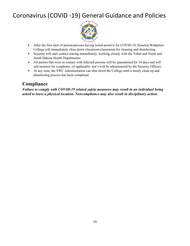

- After the first alert of person/persons having tested positive for COVID-19, Sisseton Wahpeton College will immediately close down classroom/classrooms for cleaning and disinfecting.
- Security will start contact tracing immediately, working closely with the Tribal and North and South Dakota Health Departments.
- All parties that were in contact with infected persons will be quarantined for 14 days and will self-monitor for symptoms. (if applicable: test's will be administered by the Security Officer).
- At any time, the SWC Administration can shut down the College until a timely clean up and disinfecting process has been completed.

### **Compliance**

*Failure to comply with COVID-19 related safety measures may result in an individual being asked to leave a physical location. Noncompliance may also result in disciplinary action.*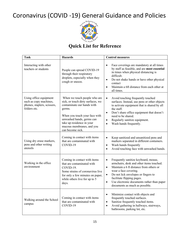

### **Quick List for Reference**

| <b>Task</b>                                                                                     | <b>Hazards</b>                                                                                                                                                                                                                                        | <b>Control measures</b>                                                                                                                                                                                                                                                                                                                                       |  |  |
|-------------------------------------------------------------------------------------------------|-------------------------------------------------------------------------------------------------------------------------------------------------------------------------------------------------------------------------------------------------------|---------------------------------------------------------------------------------------------------------------------------------------------------------------------------------------------------------------------------------------------------------------------------------------------------------------------------------------------------------------|--|--|
| Interacting with other<br>teachers or students                                                  | People can spread COVID-19<br>through their respiratory<br>droplets, especially when they<br>cough or sneeze.                                                                                                                                         | Face coverings are mandatory at all times<br>$\bullet$<br>by staff as feasible, and are most essential<br>in times when physical distancing is<br>difficult.<br>Do not shake hands or have other physical<br>$\bullet$<br>contact<br>Maintain a 6ft distance from each other at<br>$\bullet$<br>all times.                                                    |  |  |
| Using office equipment<br>such as copy machines,<br>phones, staplers, scissors,<br>folders etc. | When we touch people who are<br>sick, or touch dirty surfaces, we<br>contaminate our hands with<br>germs.<br>When you touch your face with<br>unwashed hands, germs can<br>take up residence in your<br>mucous membranes, and you<br>can become sick. | Avoid touching frequently touched<br>$\bullet$<br>surfaces. Instead, use pens or other objects<br>to activate equipment that is shared by all<br>the staff.<br>Don't share office equipment that doesn't<br>$\bullet$<br>need to be shared.<br>Regularly sanitize equipment.<br>$\bullet$<br>Wash hands frequently.<br>$\bullet$                              |  |  |
| Using dry erase markers,<br>pens and other writing<br>utensils                                  | Coming in contact with items<br>that are contaminated with<br>COVID-19                                                                                                                                                                                | Keep sanitized and unsanitized pens and<br>$\bullet$<br>markers separated in different containers.<br>Wash hands frequently<br>$\bullet$<br>Avoid touching face with unwashed hands.<br>$\bullet$                                                                                                                                                             |  |  |
| Working in the office<br>environment                                                            | Coming in contact with items<br>that are contaminated with<br>COVID-19.<br>Some strains of coronavirus live<br>for only a few minutes on paper,<br>while others live for up to 5<br>days.                                                             | Frequently sanitize keyboard, mouse,<br>$\bullet$<br>armchairs, desk and other items touched.<br>Maintain a 6 ft distance from others or<br>$\bullet$<br>wear a face covering.<br>Do not lick envelopes or fingers to<br>$\bullet$<br>facilitate flipping pages.<br>Use electronic documents rather than paper<br>$\bullet$<br>documents as much as possible. |  |  |
| Walking around the School<br>campus                                                             | Coming in contact with items<br>that are contaminated with<br>COVID-19                                                                                                                                                                                | Minimize contact with objects and<br>$\bullet$<br>frequently touched surfaces.<br>Sanitize frequently touched items.<br>$\bullet$<br>Avoid gathering in hallways, stairways,<br>$\bullet$<br>bathrooms, parking lot, etc.                                                                                                                                     |  |  |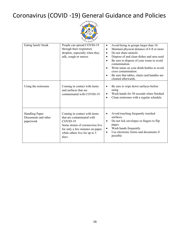

| Eating lunch/ break                                       | People can spread COVID-19<br>through their respiratory<br>droplets, especially when they<br>talk, cough or sneeze.                                                                      | Avoid being in groups larger than 10.<br>$\bullet$<br>Maintain physical distance of 6 ft or more<br>$\bullet$<br>Do not share utensils<br>$\bullet$<br>Dispose of and clean dishes and area used<br>٠<br>Be sure to dispose of your waste to avoid<br>$\bullet$<br>contamination.<br>Write name on your drink bottles to avoid<br>$\bullet$<br>cross contamination.<br>Be sure that tables, chairs and handles are<br>$\bullet$<br>cleaned afterwards. |
|-----------------------------------------------------------|------------------------------------------------------------------------------------------------------------------------------------------------------------------------------------------|--------------------------------------------------------------------------------------------------------------------------------------------------------------------------------------------------------------------------------------------------------------------------------------------------------------------------------------------------------------------------------------------------------------------------------------------------------|
| Using the restrooms                                       | Coming in contact with items<br>and surfaces that are<br>contaminated with COVID-19                                                                                                      | Be sure to wipe down surfaces before<br>$\bullet$<br>using<br>Wash hands for 30 seconds when finished<br>$\bullet$<br>Clean restrooms with a regular schedule<br>$\bullet$                                                                                                                                                                                                                                                                             |
| <b>Handling Paper</b><br>Documents and other<br>paperwork | Coming in contact with items<br>that are contaminated with<br>COVID-19<br>Some strains of coronavirus live<br>for only a few minutes on paper,<br>while others live for up to 5<br>days. | Avoid touching frequently touched<br>$\bullet$<br>surfaces.<br>Do not lick envelopes or fingers to flip<br>$\bullet$<br>pages.<br>Wash hands frequently.<br>$\bullet$<br>Use electronic forms and documents if<br>٠<br>possible                                                                                                                                                                                                                        |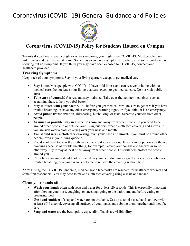

### **Coronavirus (COVID-19) Policy for Students Housed on Campus**

Tenants if you have a fever, cough, or other symptoms, you might have COVID-19. Most people have mild illness and can recover at home. Some may even have asymptomatic, where a person is producing or showing but no symptoms. If you think you may have been exposed to COVID-19, contact your healthcare provider.

#### **Tracking Symptoms**

Keep track of your symptoms. Stay in your living quarters except to get medical care.

- **Stay home.** Most people with COVID-19 have mild illness and can recover at home without medical care. Do not leave your living quarters, except to get medical care. Do not visit public areas.
- **Take care of yourself.** Get rest and stay hydrated. Take over-the-counter medicines, such as acetaminophen, to help you feel better.
- **Stay in touch with your doctor.** Call before you get medical care. Be sure to get care if you have trouble breathing, or have any other emergency warning signs, or if you think it is an emergency.
- **Avoid public transportation**, ridesharing, hitchhiking, or taxis. Separate yourself from other people
- **As much as possible, stay in a specific room** and away from other people. If you need to be around other people in or outside your living quarters, wear a cloth face covering and gloves. If you are sick wear a cloth covering over your nose and mouth
- **You should wear a cloth face covering, over your nose and mouth** if you must be around other people (even in your living quarters)
- You do not need to wear the cloth face covering if you are alone. If you cannot put on a cloth face covering (because of trouble breathing, for example), cover your coughs and sneezes in some other way. Try to stay at least 6 feet away from other people. This will help protect the people around you.
- Cloth face coverings should not be placed on young children under age 2 years, anyone who has trouble breathing, or anyone who is not able to remove the covering without help.

**Note:** During the COVID-19 pandemic, medical grade facemasks are reserved for healthcare workers and some first responders. You may need to make a cloth face covering using a scarf or bandana.

#### **Clean your hands often**

- Wash your hands often with soap and water for at least 20 seconds. This is especially important after blowing your nose, coughing, or sneezing; going to the bathroom; and before eating or preparing food.
- **Use hand sanitizer** if soap and water are not available. Use an alcohol based hand sanitizer with at least 60% alcohol, covering all surfaces of your hands and rubbing them together until they feel dry.
- **Soap and water** are the best option, especially if hands are visibly dirty.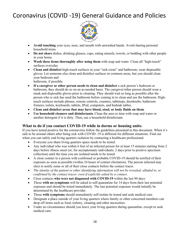

- **Avoid touching** your eyes, nose, and mouth with unwashed hands. Avoid sharing personal household items
- **Do not share** dishes, drinking glasses, cups, eating utensils, towels, or bedding with other people in your home.
- **Wash these items thoroughly after using them** with soap and water. Clean all "high-touch" surfaces everyday
- **Clean and disinfect** high-touch surfaces in your "sick room" and bathroom; wear disposable gloves. Let someone else clean and disinfect surfaces in common areas, but you should clean your bedroom and

bathroom, if possible.

- **If a caregiver or other person needs to clean and disinfect** a sick person's bedroom or bathroom, they should do so on an as-needed basis. The caregiver/other person should wear a mask and disposable gloves prior to cleaning. They should wait as long as possible after the person who is sick has used the bathroom before coming in to clean and use the bathroom. Hightouch surfaces include phones, remote controls, counters, tabletops, doorknobs, bathroom fixtures, toilets, keyboards, tablets, IPod, computers, and bedside tables.
- **Clean and disinfect areas that may have blood, stool, or body fluids on them**.
- **Use household cleaners and disinfectants.** Clean the area or item with soap and water or another detergent if it is dirty. Then, use a household disinfectant.

#### **What to do if you contact COVID-19 while in dorms or housing units:**

If you have tested positive for the coronavirus follow the guidelines presented in this document. When it's safe to be around others after being sick with COVID- 19 is different for different situations. Find out when you can safely end living quarters isolation by contacting a healthcare professional.

- Everyone you share living quarters space needs to be tested.
- Any individual who was within 6 feet of an infected person for at least 15 minutes starting from 2 days before illness onset (or, for asymptomatic individuals, 2 days prior to positive specimen collection) until the time you are isolated needs to be tested.
- A close contact to a person with confirmed or probable COVID-19 should be notified of their exposure as soon as possible (within 24 hours of contact elicitation). The person infected may elect to notify some or all of their close contacts before the contact tracer.
- *The identity of the patient or other identifying information will not be revealed, alluded to, or confirmed by the contact tracer, even if explicitly asked by a contact.*
- Close contacts **who were not diagnosed with COVID-19** within the last 90 days:
- Those **with no symptoms** will be asked to self-quarantine for 14 days from their last potential exposure and should be tested immediately. The last potential exposure would initially be determined by the healthcare provider.
- Those **with symptoms** should immediately self-isolate be tested and seek medical care.
- Designate a place outside of your living quarters where family or other concerned members can drop off items such as food, toiletry, cleaning and other necessities.
- Under no circumstance should you leave your living quarters during quarantine, except to seek medical care.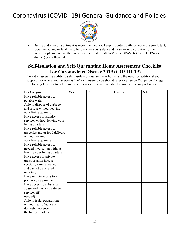

• During and after quarantine it is recommended you keep in contact with someone via email, text, social media and or landline to help ensure your safety and those around you. Any further questions please contact the housing director at 701-809-8500 or 605-698-3966 ext 1124, or afonder@swcollege.edu

### **Self-Isolation and Self-Quarantine Home Assessment Checklist For Coronavirus Disease 2019 (COVID-19)**

To aid in assessing ability to safely isolate or quarantine at home, and the need for additional social support: For where your answer is "no" or "unsure", you should refer to Sisseton Wahpeton College Housing Director to determine whether resources are available to provide that support service.

| Do/Are you:                                            | Yes | N <sub>0</sub> | <b>Unsure</b> | <b>NA</b> |
|--------------------------------------------------------|-----|----------------|---------------|-----------|
| Have reliable access to                                |     |                |               |           |
| potable water                                          |     |                |               |           |
| Able to dispose of garbage                             |     |                |               |           |
| and refuse without leaving                             |     |                |               |           |
| your living quarters                                   |     |                |               |           |
| Have access to laundry                                 |     |                |               |           |
| services without leaving your                          |     |                |               |           |
| living quarters                                        |     |                |               |           |
| Have reliable access to                                |     |                |               |           |
| groceries and or food delivery                         |     |                |               |           |
| without leaving                                        |     |                |               |           |
| your living quarters                                   |     |                |               |           |
| Have reliable access to                                |     |                |               |           |
| needed medication without                              |     |                |               |           |
| leaving your living quarters                           |     |                |               |           |
| Have access to private                                 |     |                |               |           |
| transportation in case                                 |     |                |               |           |
| specialty care is needed                               |     |                |               |           |
| and cannot be offered                                  |     |                |               |           |
| remotely                                               |     |                |               |           |
| Have remote access to a                                |     |                |               |           |
| primary care provider                                  |     |                |               |           |
| Have access to substance                               |     |                |               |           |
| abuse and misuse treatment                             |     |                |               |           |
| services (if                                           |     |                |               |           |
| needed)                                                |     |                |               |           |
| Able to isolate/quarantine<br>without fear of abuse or |     |                |               |           |
| domestic violence in                                   |     |                |               |           |
|                                                        |     |                |               |           |
| the living quarters                                    |     |                |               |           |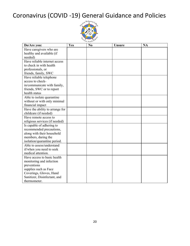

| Do/Are you:                     | Yes | No | <b>Unsure</b> | <b>NA</b> |
|---------------------------------|-----|----|---------------|-----------|
| Have caregivers who are         |     |    |               |           |
| healthy and available (if       |     |    |               |           |
| needed)                         |     |    |               |           |
| Have reliable internet access   |     |    |               |           |
| to check in with health         |     |    |               |           |
| professionals, or               |     |    |               |           |
| friends, family, SWC            |     |    |               |           |
| Have reliable telephone         |     |    |               |           |
| access to check-                |     |    |               |           |
| in/communicate with family,     |     |    |               |           |
| friends, SWC or to report       |     |    |               |           |
| health status                   |     |    |               |           |
| Able to isolate quarantine      |     |    |               |           |
| without or with only minimal    |     |    |               |           |
| financial impact                |     |    |               |           |
| Have the ability to arrange for |     |    |               |           |
| childcare (if needed)           |     |    |               |           |
| Have remote access to           |     |    |               |           |
| religious services (if needed)  |     |    |               |           |
| Is capable of adhering to       |     |    |               |           |
| recommended precautions,        |     |    |               |           |
| along with their household      |     |    |               |           |
| members, during the             |     |    |               |           |
| isolation/quarantine period.    |     |    |               |           |
| Able to assess/understand       |     |    |               |           |
| if/when you need to seek        |     |    |               |           |
| medical attention.              |     |    |               |           |
| Have access to basic health     |     |    |               |           |
| monitoring and infection        |     |    |               |           |
| preventions                     |     |    |               |           |
| supplies such as Face           |     |    |               |           |
| Coverings, Gloves, Hand         |     |    |               |           |
| Sanitizer, Disinfectant, and    |     |    |               |           |
| thermometer.                    |     |    |               |           |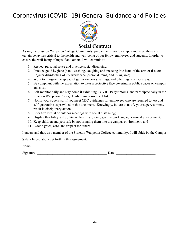

### **Social Contract**

As we, the Sisseton Wahpeton College Community, prepare to return to campus and sites, there are certain behaviors critical to the health and well-being of our fellow employees and students. In order to ensure the well-being of myself and others, I will commit to:

- 1. Respect personal space and practice social distancing;
- 2. Practice good hygiene (hand-washing, coughing and sneezing into bend of the arm or tissue);
- 3. Regular disinfecting of my workspace, personal items, and living area;
- 4. Work to mitigate the spread of germs on doors, railings, and other high contact areas;
- 5. Be compliant with the expectation to wear a protective face covering in public spaces on campus and sites;
- 6. Self-monitor daily and stay home if exhibiting COVID-19 symptoms, and participate daily in the Sisseton Wahpeton College Daily Symptoms checklist;
- 7. Notify your supervisor if you meet CDC guidelines for employees who are required to test and self-quarantine as provided in this document. Knowingly, failure to notify your supervisor may result in disciplinary action.
- 8. Prioritize virtual or outdoor meetings with social distancing;
- 9. Display flexibility and agility as the situation impacts my work and educational environment;
- 10. Keep children and pets safe by not bringing them into the campus environment; and
- 11. Extend grace, care, and respect for others.

I understand that, as a member of the Sisseton Wahpeton College community, I will abide by the Campus

Safety Expectations set forth in this agreement.

Name:  $\Box$ 

Signature:  $\Box$